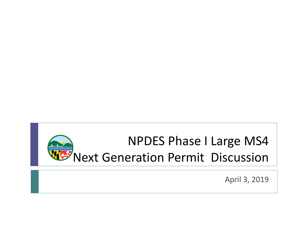

April 3, 2019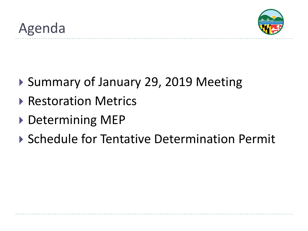

- ▶ Summary of January 29, 2019 Meeting
- ▶ Restoration Metrics
- ▶ Determining MEP
- ▶ Schedule for Tentative Determination Permit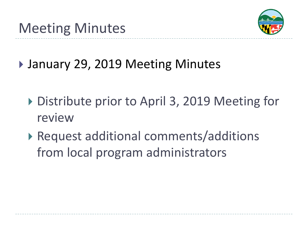

▶ January 29, 2019 Meeting Minutes

- ▶ Distribute prior to April 3, 2019 Meeting for review
- ▶ Request additional comments/additions from local program administrators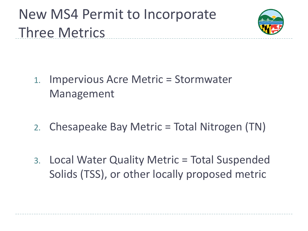# New MS4 Permit to Incorporate Three Metrics



- 1. Impervious Acre Metric = Stormwater Management
- 2. Chesapeake Bay Metric = Total Nitrogen (TN)
- 3. Local Water Quality Metric = Total Suspended Solids (TSS), or other locally proposed metric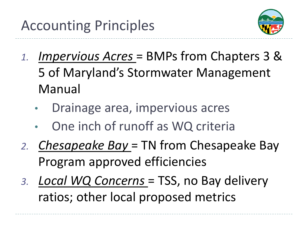

- *1. Impervious Acres* = BMPs from Chapters 3 & 5 of Maryland's Stormwater Management Manual
	- Drainage area, impervious acres
	- One inch of runoff as WQ criteria
- *2. Chesapeake Bay* = TN from Chesapeake Bay Program approved efficiencies
- *3. Local WQ Concerns* = TSS, no Bay delivery ratios; other local proposed metrics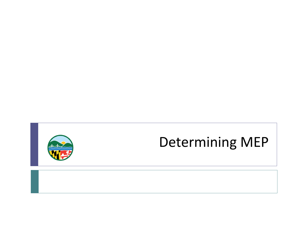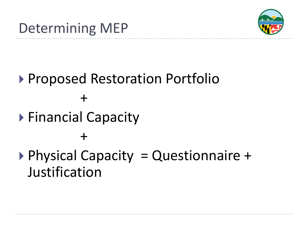

# ▶ Proposed Restoration Portfolio +

▶ Financial Capacity

## +

# $\triangleright$  Physical Capacity = Questionnaire + Justification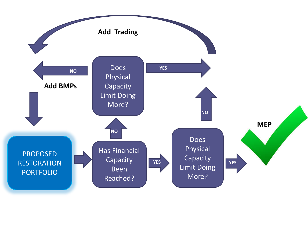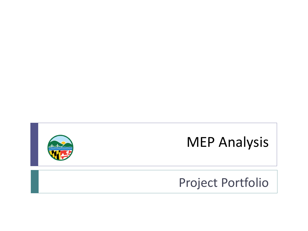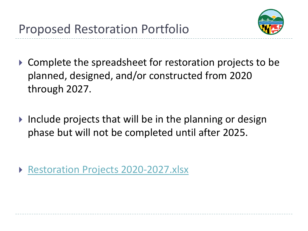

- ▶ Complete the spreadsheet for restoration projects to be planned, designed, and/or constructed from 2020 through 2027.
- Include projects that will be in the planning or design phase but will not be completed until after 2025.

▶ Restoration Projects 2020-2027.xlsx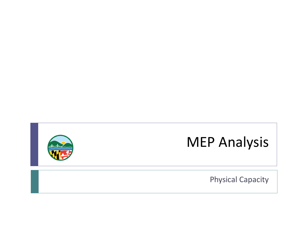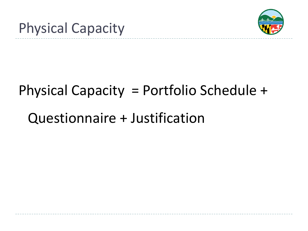



# Physical Capacity = Portfolio Schedule +

# Questionnaire + Justification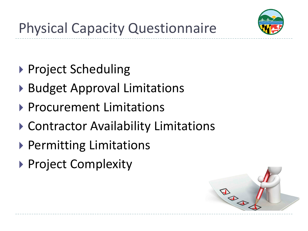

- ▶ Project Scheduling
- ▶ Budget Approval Limitations
- ▶ Procurement Limitations
- ▶ Contractor Availability Limitations
- ▶ Permitting Limitations
- ▶ Project Complexity

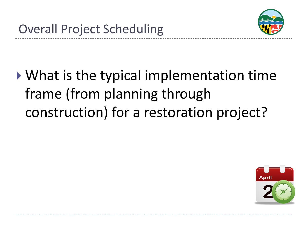

# What is the typical implementation time frame (from planning through construction) for a restoration project?

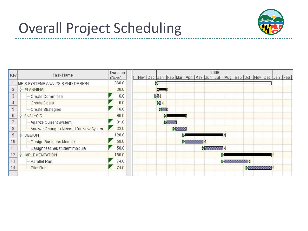

|     | Task Name                             | Duration | 2009                                                                 |  |  |  |
|-----|---------------------------------------|----------|----------------------------------------------------------------------|--|--|--|
| Key |                                       | (Days)   | t Nov Dec Jan Feb Mar Apr May Jun Jul<br>Aug Sep Oct Nov Dec Jan Feb |  |  |  |
|     | MEIS SYSTEMS ANALYSIS AND DESIGN      | 360.0    |                                                                      |  |  |  |
| 2   | P- PLANNING                           | 30.0     |                                                                      |  |  |  |
| 3   | Create Committee                      | 6.0      | DBI                                                                  |  |  |  |
| 4   | <b>Create Goals</b>                   | 6.0      | <b>DEK</b>                                                           |  |  |  |
| 5   | Create Strategies                     | 16.0     | <b>DEEX</b>                                                          |  |  |  |
| 6   | <b>ANALYSIS</b>                       | 60.0     | D                                                                    |  |  |  |
|     | Analyze Current System                | 31.0     | w                                                                    |  |  |  |
| 8   | Analyze Changes Needed for New System | 32.0     | $\blacktriangleright$ and $\blacktriangleright$                      |  |  |  |
| 9   | P DESIGN                              | 120.0    |                                                                      |  |  |  |
| 10  | Design Business Module                | 58.0     |                                                                      |  |  |  |
| 11  | Design teacher/student module         | 58.0     | $\blacksquare$                                                       |  |  |  |
| 12  | <b>P-IMPLEMENTATION</b>               | 150.0    |                                                                      |  |  |  |
| 13  | Parallel Run                          | 74.0     |                                                                      |  |  |  |
| 14  | Pilot Run                             | 74.0     | IV.                                                                  |  |  |  |
|     |                                       |          |                                                                      |  |  |  |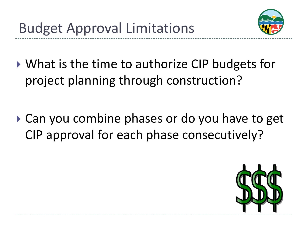

- ▶ What is the time to authorize CIP budgets for project planning through construction?
- ▶ Can you combine phases or do you have to get CIP approval for each phase consecutively?

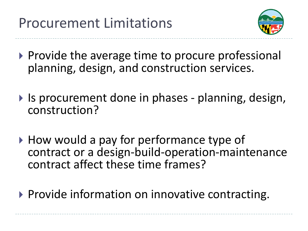

- $\triangleright$  Provide the average time to procure professional planning, design, and construction services.
- If Is procurement done in phases planning, design, construction?
- ▶ How would a pay for performance type of contract or a design-build-operation-maintenance contract affect these time frames?
- $\triangleright$  Provide information on innovative contracting.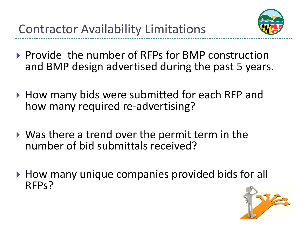

- ▶ Provide the number of RFPs for BMP construction and BMP design advertised during the past 5 years.
- ▶ How many bids were submitted for each RFP and how many required re-advertising?
- Was there a trend over the permit term in the number of bid submittals received?
- ▶ How many unique companies provided bids for all RFPs?

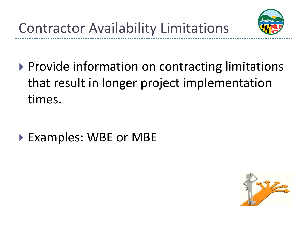

▶ Provide information on contracting limitations that result in longer project implementation times.

▶ Examples: WBE or MBE

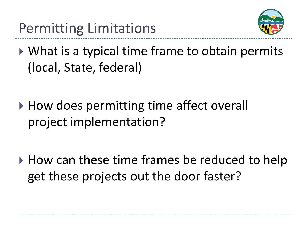

- ▶ What is a typical time frame to obtain permits (local, State, federal)
- ▶ How does permitting time affect overall project implementation?
- ▶ How can these time frames be reduced to help get these projects out the door faster?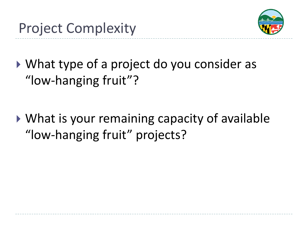

- What type of a project do you consider as "low-hanging fruit"?
- ▶ What is your remaining capacity of available "low-hanging fruit" projects?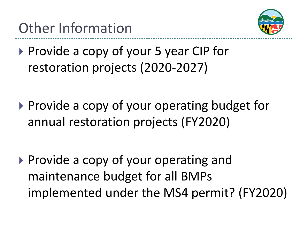Other Information



- ▶ Provide a copy of your 5 year CIP for restoration projects (2020-2027)
- ▶ Provide a copy of your operating budget for annual restoration projects (FY2020)
- $\triangleright$  Provide a copy of your operating and maintenance budget for all BMPs implemented under the MS4 permit? (FY2020)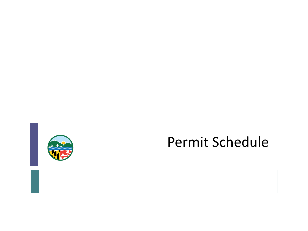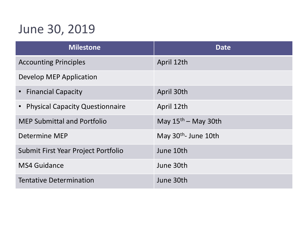### June 30, 2019

| <b>Milestone</b>                       | <b>Date</b>                      |
|----------------------------------------|----------------------------------|
| <b>Accounting Principles</b>           | April 12th                       |
| Develop MEP Application                |                                  |
| <b>Financial Capacity</b>              | April 30th                       |
| <b>Physical Capacity Questionnaire</b> | April 12th                       |
| <b>MEP Submittal and Portfolio</b>     | May $15th$ – May 30th            |
| Determine MEP                          | May 30 <sup>th</sup> - June 10th |
| Submit First Year Project Portfolio    | June 10th                        |
| <b>MS4 Guidance</b>                    | June 30th                        |
| <b>Tentative Determination</b>         | June 30th                        |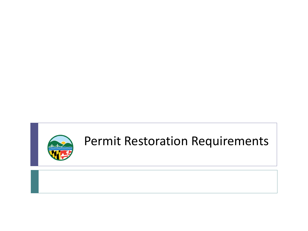

#### Permit Restoration Requirements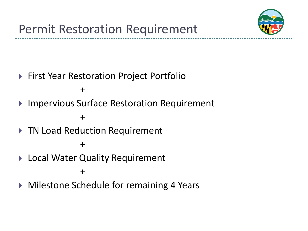

- ▶ First Year Restoration Project Portfolio
	- $+$
- ▶ Impervious Surface Restoration Requirement

#### +

▶ TN Load Reduction Requirement

#### +

▶ Local Water Quality Requirement

+

▶ Milestone Schedule for remaining 4 Years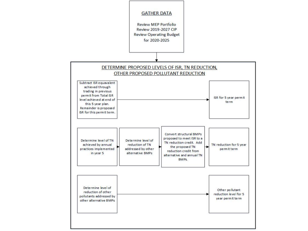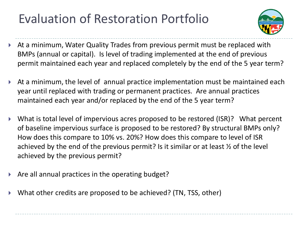### Evaluation of Restoration Portfolio



- At a minimum, Water Quality Trades from previous permit must be replaced with BMPs (annual or capital). Is level of trading implemented at the end of previous permit maintained each year and replaced completely by the end of the 5 year term?
- At a minimum, the level of annual practice implementation must be maintained each year until replaced with trading or permanent practices. Are annual practices maintained each year and/or replaced by the end of the 5 year term?
- What is total level of impervious acres proposed to be restored (ISR)? What percent of baseline impervious surface is proposed to be restored? By structural BMPs only? How does this compare to 10% vs. 20%? How does this compare to level of ISR achieved by the end of the previous permit? Is it similar or at least  $\frac{1}{2}$  of the level achieved by the previous permit?
- Are all annual practices in the operating budget?
- What other credits are proposed to be achieved? (TN, TSS, other)